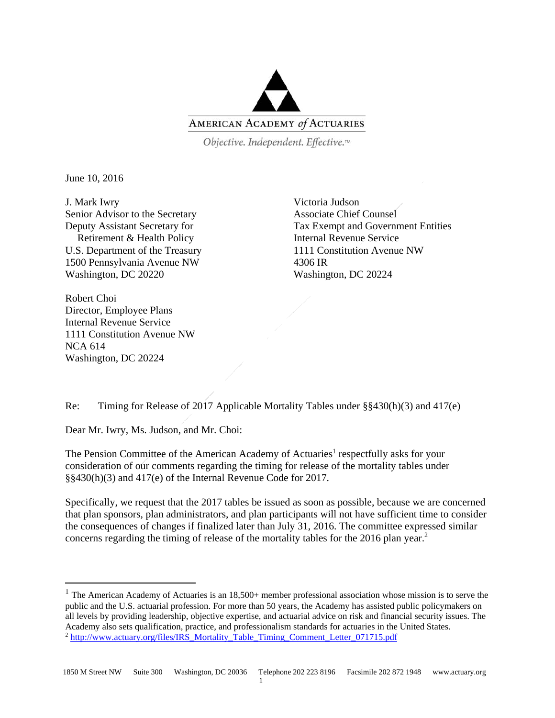

Objective. Independent. Effective.™

June 10, 2016

 $\overline{\phantom{a}}$ 

J. Mark Iwry Senior Advisor to the Secretary Deputy Assistant Secretary for Retirement & Health Policy U.S. Department of the Treasury 1500 Pennsylvania Avenue NW Washington, DC 20220

Victoria Judson Associate Chief Counsel Tax Exempt and Government Entities Internal Revenue Service 1111 Constitution Avenue NW 4306 IR Washington, DC 20224

Robert Choi Director, Employee Plans Internal Revenue Service 1111 Constitution Avenue NW NCA 614 Washington, DC 20224

Re: Timing for Release of 2017 Applicable Mortality Tables under §§430(h)(3) and 417(e)

Dear Mr. Iwry, Ms. Judson, and Mr. Choi:

The Pension Committee of the American Academy of Actuaries<sup>1</sup> respectfully asks for your consideration of our comments regarding the timing for release of the mortality tables under §§430(h)(3) and 417(e) of the Internal Revenue Code for 2017.

Specifically, we request that the 2017 tables be issued as soon as possible, because we are concerned that plan sponsors, plan administrators, and plan participants will not have sufficient time to consider the consequences of changes if finalized later than July 31, 2016. The committee expressed similar concerns regarding the timing of release of the mortality tables for the 2016 plan year.<sup>2</sup>

<sup>&</sup>lt;sup>1</sup> The American Academy of Actuaries is an  $18,500+$  member professional association whose mission is to serve the public and the U.S. actuarial profession. For more than 50 years, the Academy has assisted public policymakers on all levels by providing leadership, objective expertise, and actuarial advice on risk and financial security issues. The Academy also sets qualification, practice, and professionalism standards for actuaries in the United States.<br><sup>2</sup> http://www.actuary.org/files/IRS\_Mortality\_Table\_Timing\_Comment\_Letter\_071715.pdf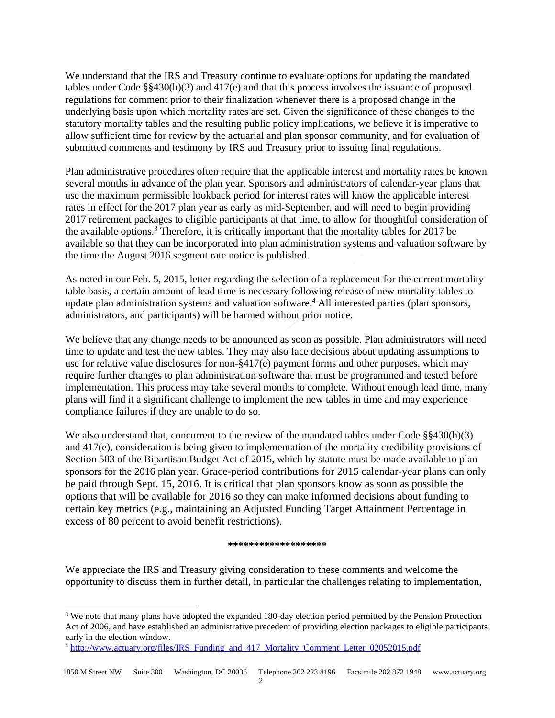We understand that the IRS and Treasury continue to evaluate options for updating the mandated tables under Code §§430(h)(3) and 417(e) and that this process involves the issuance of proposed regulations for comment prior to their finalization whenever there is a proposed change in the underlying basis upon which mortality rates are set. Given the significance of these changes to the statutory mortality tables and the resulting public policy implications, we believe it is imperative to allow sufficient time for review by the actuarial and plan sponsor community, and for evaluation of submitted comments and testimony by IRS and Treasury prior to issuing final regulations.

Plan administrative procedures often require that the applicable interest and mortality rates be known several months in advance of the plan year. Sponsors and administrators of calendar-year plans that use the maximum permissible lookback period for interest rates will know the applicable interest rates in effect for the 2017 plan year as early as mid-September, and will need to begin providing 2017 retirement packages to eligible participants at that time, to allow for thoughtful consideration of the available options.<sup>3</sup> Therefore, it is critically important that the mortality tables for 2017 be available so that they can be incorporated into plan administration systems and valuation software by the time the August 2016 segment rate notice is published.

As noted in our Feb. 5, 2015, letter regarding the selection of a replacement for the current mortality table basis, a certain amount of lead time is necessary following release of new mortality tables to update plan administration systems and valuation software.<sup>4</sup> All interested parties (plan sponsors, administrators, and participants) will be harmed without prior notice.

We believe that any change needs to be announced as soon as possible. Plan administrators will need time to update and test the new tables. They may also face decisions about updating assumptions to use for relative value disclosures for non-§417(e) payment forms and other purposes, which may require further changes to plan administration software that must be programmed and tested before implementation. This process may take several months to complete. Without enough lead time, many plans will find it a significant challenge to implement the new tables in time and may experience compliance failures if they are unable to do so.

We also understand that, concurrent to the review of the mandated tables under Code §§430(h)(3) and 417(e), consideration is being given to implementation of the mortality credibility provisions of Section 503 of the Bipartisan Budget Act of 2015, which by statute must be made available to plan sponsors for the 2016 plan year. Grace-period contributions for 2015 calendar-year plans can only be paid through Sept. 15, 2016. It is critical that plan sponsors know as soon as possible the options that will be available for 2016 so they can make informed decisions about funding to certain key metrics (e.g., maintaining an Adjusted Funding Target Attainment Percentage in excess of 80 percent to avoid benefit restrictions).

## **\*\*\*\*\*\*\*\*\*\*\*\*\*\*\*\*\*\*\***

We appreciate the IRS and Treasury giving consideration to these comments and welcome the opportunity to discuss them in further detail, in particular the challenges relating to implementation,

 $\overline{a}$ 

<sup>&</sup>lt;sup>3</sup> We note that many plans have adopted the expanded 180-day election period permitted by the Pension Protection Act of 2006, and have established an administrative precedent of providing election packages to eligible participants early in the election window.

<sup>4</sup> http://www.actuary.org/files/IRS\_Funding\_and\_417\_Mortality\_Comment\_Letter\_02052015.pdf